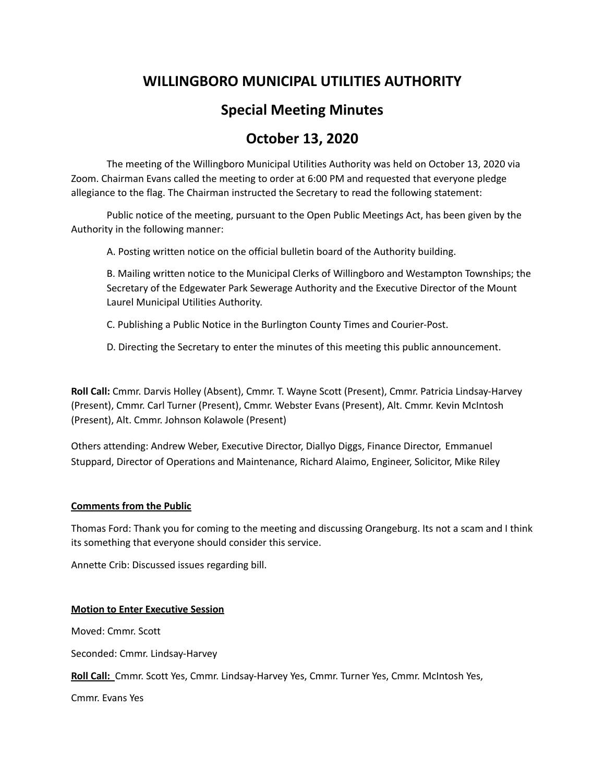## **WILLINGBORO MUNICIPAL UTILITIES AUTHORITY**

# **Special Meeting Minutes**

## **October 13, 2020**

The meeting of the Willingboro Municipal Utilities Authority was held on October 13, 2020 via Zoom. Chairman Evans called the meeting to order at 6:00 PM and requested that everyone pledge allegiance to the flag. The Chairman instructed the Secretary to read the following statement:

Public notice of the meeting, pursuant to the Open Public Meetings Act, has been given by the Authority in the following manner:

A. Posting written notice on the official bulletin board of the Authority building.

B. Mailing written notice to the Municipal Clerks of Willingboro and Westampton Townships; the Secretary of the Edgewater Park Sewerage Authority and the Executive Director of the Mount Laurel Municipal Utilities Authority.

- C. Publishing a Public Notice in the Burlington County Times and Courier-Post.
- D. Directing the Secretary to enter the minutes of this meeting this public announcement.

**Roll Call:** Cmmr. Darvis Holley (Absent), Cmmr. T. Wayne Scott (Present), Cmmr. Patricia Lindsay-Harvey (Present), Cmmr. Carl Turner (Present), Cmmr. Webster Evans (Present), Alt. Cmmr. Kevin McIntosh (Present), Alt. Cmmr. Johnson Kolawole (Present)

Others attending: Andrew Weber, Executive Director, Diallyo Diggs, Finance Director, Emmanuel Stuppard, Director of Operations and Maintenance, Richard Alaimo, Engineer, Solicitor, Mike Riley

### **Comments from the Public**

Thomas Ford: Thank you for coming to the meeting and discussing Orangeburg. Its not a scam and I think its something that everyone should consider this service.

Annette Crib: Discussed issues regarding bill.

### **Motion to Enter Executive Session**

Moved: Cmmr. Scott

Seconded: Cmmr. Lindsay-Harvey

**Roll Call:** Cmmr. Scott Yes, Cmmr. Lindsay-Harvey Yes, Cmmr. Turner Yes, Cmmr. McIntosh Yes,

Cmmr. Evans Yes